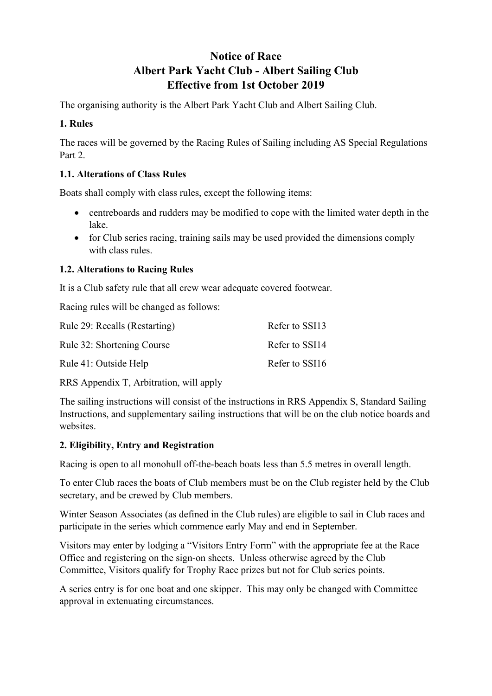# **Notice of Race Albert Park Yacht Club - Albert Sailing Club Effective from 1st October 2019**

The organising authority is the Albert Park Yacht Club and Albert Sailing Club.

# **1. Rules**

The races will be governed by the Racing Rules of Sailing including AS Special Regulations Part 2.

# **1.1. Alterations of Class Rules**

Boats shall comply with class rules, except the following items:

- centreboards and rudders may be modified to cope with the limited water depth in the lake.
- for Club series racing, training sails may be used provided the dimensions comply with class rules.

# **1.2. Alterations to Racing Rules**

It is a Club safety rule that all crew wear adequate covered footwear.

Racing rules will be changed as follows:

| Rule 29: Recalls (Restarting) | Refer to SSI13 |
|-------------------------------|----------------|
| Rule 32: Shortening Course    | Refer to SSI14 |
| Rule 41: Outside Help         | Refer to SSI16 |

RRS Appendix T, Arbitration, will apply

The sailing instructions will consist of the instructions in RRS Appendix S, Standard Sailing Instructions, and supplementary sailing instructions that will be on the club notice boards and websites.

# **2. Eligibility, Entry and Registration**

Racing is open to all monohull off-the-beach boats less than 5.5 metres in overall length.

To enter Club races the boats of Club members must be on the Club register held by the Club secretary, and be crewed by Club members.

Winter Season Associates (as defined in the Club rules) are eligible to sail in Club races and participate in the series which commence early May and end in September.

Visitors may enter by lodging a "Visitors Entry Form" with the appropriate fee at the Race Office and registering on the sign-on sheets. Unless otherwise agreed by the Club Committee, Visitors qualify for Trophy Race prizes but not for Club series points.

A series entry is for one boat and one skipper. This may only be changed with Committee approval in extenuating circumstances.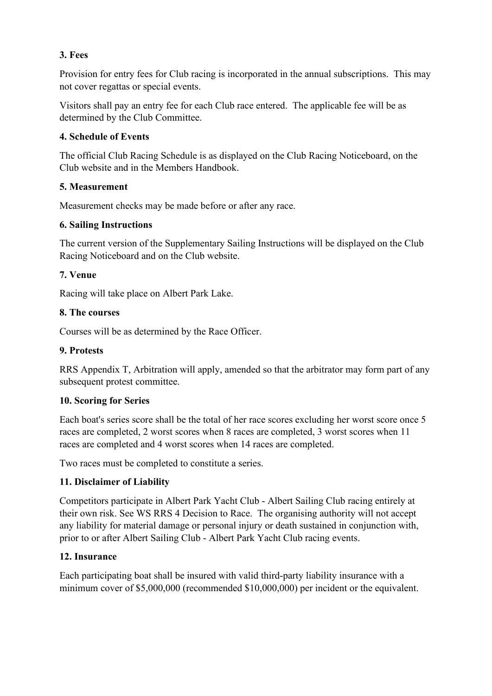### **3. Fees**

Provision for entry fees for Club racing is incorporated in the annual subscriptions. This may not cover regattas or special events.

Visitors shall pay an entry fee for each Club race entered. The applicable fee will be as determined by the Club Committee.

# **4. Schedule of Events**

The official Club Racing Schedule is as displayed on the Club Racing Noticeboard, on the Club website and in the Members Handbook.

### **5. Measurement**

Measurement checks may be made before or after any race.

### **6. Sailing Instructions**

The current version of the Supplementary Sailing Instructions will be displayed on the Club Racing Noticeboard and on the Club website.

### **7. Venue**

Racing will take place on Albert Park Lake.

### **8. The courses**

Courses will be as determined by the Race Officer.

### **9. Protests**

RRS Appendix T, Arbitration will apply, amended so that the arbitrator may form part of any subsequent protest committee.

#### **10. Scoring for Series**

Each boat's series score shall be the total of her race scores excluding her worst score once 5 races are completed, 2 worst scores when 8 races are completed, 3 worst scores when 11 races are completed and 4 worst scores when 14 races are completed.

Two races must be completed to constitute a series.

# **11. Disclaimer of Liability**

Competitors participate in Albert Park Yacht Club - Albert Sailing Club racing entirely at their own risk. See WS RRS 4 Decision to Race. The organising authority will not accept any liability for material damage or personal injury or death sustained in conjunction with, prior to or after Albert Sailing Club - Albert Park Yacht Club racing events.

#### **12. Insurance**

Each participating boat shall be insured with valid third-party liability insurance with a minimum cover of \$5,000,000 (recommended \$10,000,000) per incident or the equivalent.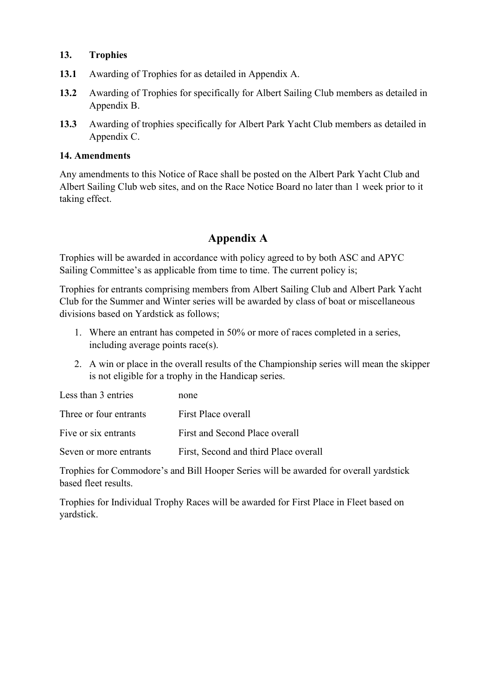#### **13. Trophies**

- **13.1** Awarding of Trophies for as detailed in Appendix A.
- **13.2** Awarding of Trophies for specifically for Albert Sailing Club members as detailed in Appendix B.
- **13.3** Awarding of trophies specifically for Albert Park Yacht Club members as detailed in Appendix C.

#### **14. Amendments**

Any amendments to this Notice of Race shall be posted on the Albert Park Yacht Club and Albert Sailing Club web sites, and on the Race Notice Board no later than 1 week prior to it taking effect.

# **Appendix A**

Trophies will be awarded in accordance with policy agreed to by both ASC and APYC Sailing Committee's as applicable from time to time. The current policy is;

Trophies for entrants comprising members from Albert Sailing Club and Albert Park Yacht Club for the Summer and Winter series will be awarded by class of boat or miscellaneous divisions based on Yardstick as follows;

- 1. Where an entrant has competed in 50% or more of races completed in a series, including average points race(s).
- 2. A win or place in the overall results of the Championship series will mean the skipper is not eligible for a trophy in the Handicap series.

| Less than 3 entries    | none                                  |
|------------------------|---------------------------------------|
| Three or four entrants | First Place overall                   |
| Five or six entrants   | First and Second Place overall        |
| Seven or more entrants | First, Second and third Place overall |

Trophies for Commodore's and Bill Hooper Series will be awarded for overall yardstick based fleet results.

Trophies for Individual Trophy Races will be awarded for First Place in Fleet based on yardstick.